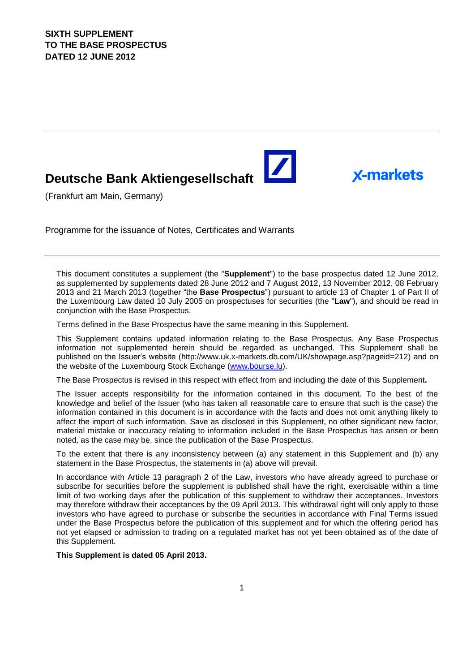# **Deutsche Bank Aktiengesellschaft**

(Frankfurt am Main, Germany)

Programme for the issuance of Notes, Certificates and Warrants

This document constitutes a supplement (the "**Supplement**") to the base prospectus dated 12 June 2012, as supplemented by supplements dated 28 June 2012 and 7 August 2012, 13 November 2012, 08 February 2013 and 21 March 2013 (together "the **Base Prospectus**") pursuant to article 13 of Chapter 1 of Part II of the Luxembourg Law dated 10 July 2005 on prospectuses for securities (the "**Law**"), and should be read in conjunction with the Base Prospectus.

 $\blacktriangleright$ 

**X-markets** 

Terms defined in the Base Prospectus have the same meaning in this Supplement.

This Supplement contains updated information relating to the Base Prospectus. Any Base Prospectus information not supplemented herein should be regarded as unchanged. This Supplement shall be published on the Issuer's website (http://www.uk.x-markets.db.com/UK/showpage.asp?pageid=212) and on the website of the Luxembourg Stock Exchange (www.bourse.lu).

The Base Prospectus is revised in this respect with effect from and including the date of this Supplement**.**

The Issuer accepts responsibility for the information contained in this document. To the best of the knowledge and belief of the Issuer (who has taken all reasonable care to ensure that such is the case) the information contained in this document is in accordance with the facts and does not omit anything likely to affect the import of such information. Save as disclosed in this Supplement, no other significant new factor, material mistake or inaccuracy relating to information included in the Base Prospectus has arisen or been noted, as the case may be, since the publication of the Base Prospectus.

To the extent that there is any inconsistency between (a) any statement in this Supplement and (b) any statement in the Base Prospectus, the statements in (a) above will prevail.

In accordance with Article 13 paragraph 2 of the Law, investors who have already agreed to purchase or subscribe for securities before the supplement is published shall have the right, exercisable within a time limit of two working days after the publication of this supplement to withdraw their acceptances. Investors may therefore withdraw their acceptances by the 09 April 2013. This withdrawal right will only apply to those investors who have agreed to purchase or subscribe the securities in accordance with Final Terms issued under the Base Prospectus before the publication of this supplement and for which the offering period has not yet elapsed or admission to trading on a regulated market has not yet been obtained as of the date of this Supplement.

**This Supplement is dated 05 April 2013.**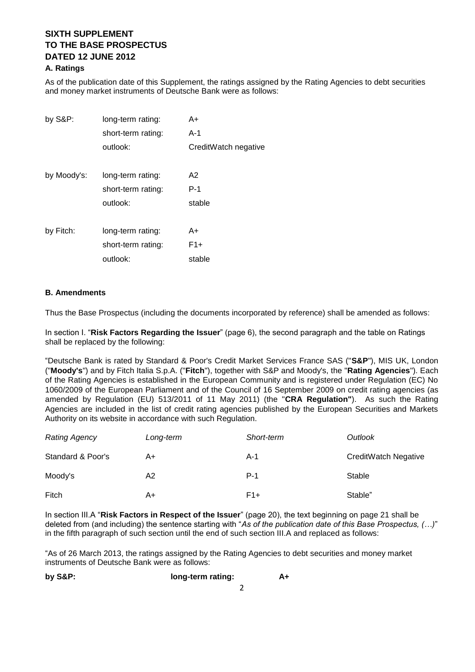# **SIXTH SUPPL FMENT TO THE BASE PROSPECTUS DATED 12 JUNE 2012**

#### **A. Ratings**

As of the publication date of this Supplement, the ratings assigned by the Rating Agencies to debt securities and money market instruments of Deutsche Bank were as follows:

| by S&P:     | long-term rating:  | A+                   |
|-------------|--------------------|----------------------|
|             | short-term rating: | A-1                  |
|             | outlook:           | CreditWatch negative |
|             |                    |                      |
| by Moody's: | long-term rating:  | A2                   |
|             | short-term rating: | P-1                  |
|             | outlook:           | stable               |
|             |                    |                      |
| by Fitch:   | long-term rating:  | A+                   |
|             | short-term rating: | $F1+$                |
|             | outlook:           | stable               |

#### **B. Amendments**

Thus the Base Prospectus (including the documents incorporated by reference) shall be amended as follows:

In section I. "**Risk Factors Regarding the Issuer**" (page 6), the second paragraph and the table on Ratings shall be replaced by the following:

"Deutsche Bank is rated by Standard & Poor's Credit Market Services France SAS ("**S&P**"), MIS UK, London ("**Moody's**") and by Fitch Italia S.p.A. ("**Fitch**"), together with S&P and Moody's, the "**Rating Agencies**"). Each of the Rating Agencies is established in the European Community and is registered under Regulation (EC) No 1060/2009 of the European Parliament and of the Council of 16 September 2009 on credit rating agencies (as amended by Regulation (EU) 513/2011 of 11 May 2011) (the "**CRA Regulation"**). As such the Rating Agencies are included in the list of credit rating agencies published by the European Securities and Markets Authority on its website in accordance with such Regulation.

| <b>Rating Agency</b> | Long-term | Short-term | Outlook                     |
|----------------------|-----------|------------|-----------------------------|
| Standard & Poor's    | A+        | A-1        | <b>CreditWatch Negative</b> |
| Moody's              | A2        | $P-1$      | Stable                      |
| Fitch                | A+        | $F1+$      | Stable"                     |

In section III.A "**Risk Factors in Respect of the Issuer**" (page 20), the text beginning on page 21 shall be deleted from (and including) the sentence starting with "*As of the publication date of this Base Prospectus, (…)*" in the fifth paragraph of such section until the end of such section III.A and replaced as follows:

"As of 26 March 2013, the ratings assigned by the Rating Agencies to debt securities and money market instruments of Deutsche Bank were as follows:

| by S&P: | long-term rating: |  |
|---------|-------------------|--|
|         |                   |  |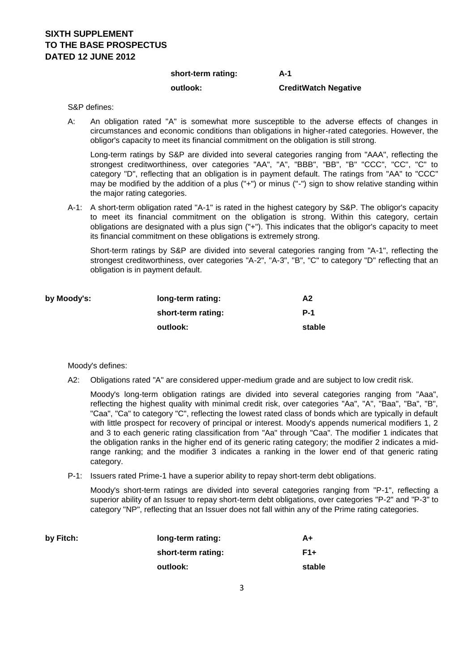## **SIXTH SUPPL FMENT TO THE BASE PROSPECTUS DATED 12 JUNE 2012**

#### **short-term rating: A-1**

### **outlook: CreditWatch Negative**

#### S&P defines:

A: An obligation rated "A" is somewhat more susceptible to the adverse effects of changes in circumstances and economic conditions than obligations in higher-rated categories. However, the obligor's capacity to meet its financial commitment on the obligation is still strong.

Long-term ratings by S&P are divided into several categories ranging from "AAA", reflecting the strongest creditworthiness, over categories "AA", "A", "BBB", "BB", "B" "CCC", "CC", "C" to category "D", reflecting that an obligation is in payment default. The ratings from "AA" to "CCC" may be modified by the addition of a plus ("+") or minus ("-") sign to show relative standing within the major rating categories.

A-1: A short-term obligation rated "A-1" is rated in the highest category by S&P. The obligor's capacity to meet its financial commitment on the obligation is strong. Within this category, certain obligations are designated with a plus sign ("+"). This indicates that the obligor's capacity to meet its financial commitment on these obligations is extremely strong.

Short-term ratings by S&P are divided into several categories ranging from "A-1", reflecting the strongest creditworthiness, over categories "A-2", "A-3", "B", "C" to category "D" reflecting that an obligation is in payment default.

| by Moody's: | long-term rating:  | A2         |
|-------------|--------------------|------------|
|             | short-term rating: | <b>P-1</b> |
|             | outlook:           | stable     |

#### Moody's defines:

A2: Obligations rated "A" are considered upper-medium grade and are subject to low credit risk.

Moody's long-term obligation ratings are divided into several categories ranging from "Aaa", reflecting the highest quality with minimal credit risk, over categories "Aa", "A", "Baa", "Ba", "B", "Caa", "Ca" to category "C", reflecting the lowest rated class of bonds which are typically in default with little prospect for recovery of principal or interest. Moody's appends numerical modifiers 1, 2 and 3 to each generic rating classification from "Aa" through "Caa". The modifier 1 indicates that the obligation ranks in the higher end of its generic rating category; the modifier 2 indicates a midrange ranking; and the modifier 3 indicates a ranking in the lower end of that generic rating category.

P-1: Issuers rated Prime-1 have a superior ability to repay short-term debt obligations.

Moody's short-term ratings are divided into several categories ranging from "P-1", reflecting a superior ability of an Issuer to repay short-term debt obligations, over categories "P-2" and "P-3" to category "NP", reflecting that an Issuer does not fall within any of the Prime rating categories.

| by Fitch: | long-term rating:  | A+     |
|-----------|--------------------|--------|
|           | short-term rating: | $F1+$  |
|           | outlook:           | stable |